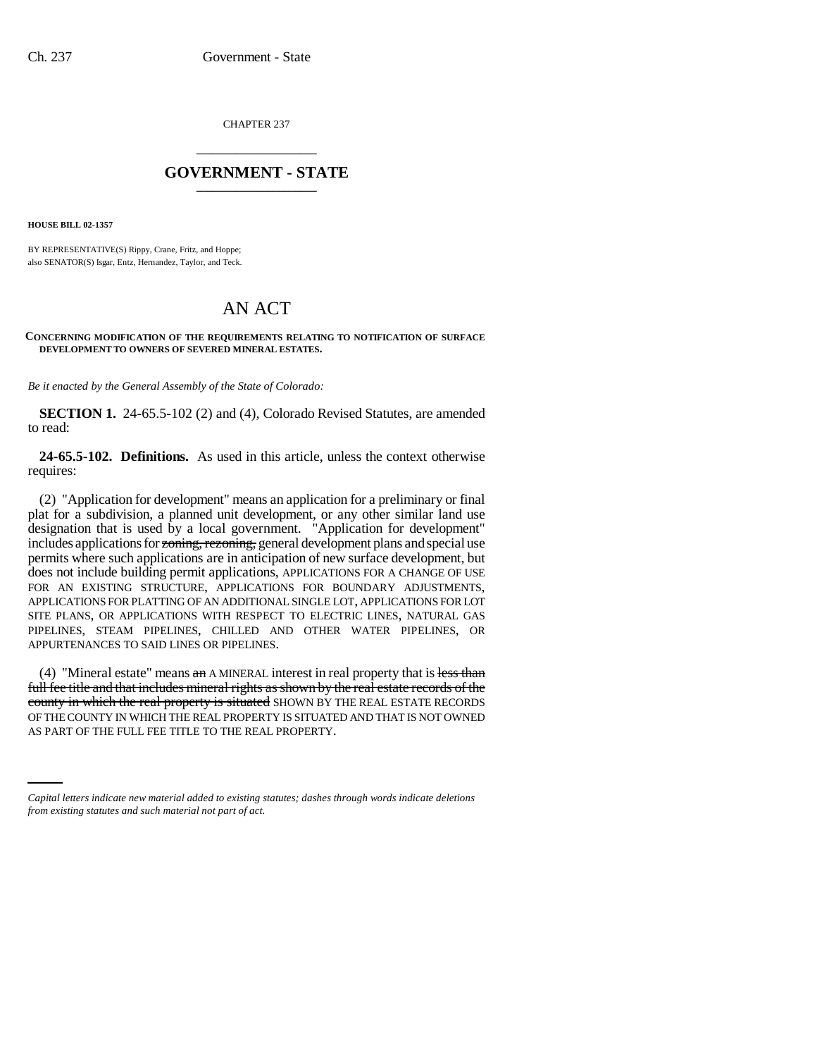CHAPTER 237 \_\_\_\_\_\_\_\_\_\_\_\_\_\_\_

## **GOVERNMENT - STATE** \_\_\_\_\_\_\_\_\_\_\_\_\_\_\_

**HOUSE BILL 02-1357**

BY REPRESENTATIVE(S) Rippy, Crane, Fritz, and Hoppe; also SENATOR(S) Isgar, Entz, Hernandez, Taylor, and Teck.

## AN ACT

## **CONCERNING MODIFICATION OF THE REQUIREMENTS RELATING TO NOTIFICATION OF SURFACE DEVELOPMENT TO OWNERS OF SEVERED MINERAL ESTATES.**

*Be it enacted by the General Assembly of the State of Colorado:*

**SECTION 1.** 24-65.5-102 (2) and (4), Colorado Revised Statutes, are amended to read:

**24-65.5-102. Definitions.** As used in this article, unless the context otherwise requires:

(2) "Application for development" means an application for a preliminary or final plat for a subdivision, a planned unit development, or any other similar land use designation that is used by a local government. "Application for development" includes applications for zoning, rezoning, general development plans and special use permits where such applications are in anticipation of new surface development, but does not include building permit applications, APPLICATIONS FOR A CHANGE OF USE FOR AN EXISTING STRUCTURE, APPLICATIONS FOR BOUNDARY ADJUSTMENTS, APPLICATIONS FOR PLATTING OF AN ADDITIONAL SINGLE LOT, APPLICATIONS FOR LOT SITE PLANS, OR APPLICATIONS WITH RESPECT TO ELECTRIC LINES, NATURAL GAS PIPELINES, STEAM PIPELINES, CHILLED AND OTHER WATER PIPELINES, OR APPURTENANCES TO SAID LINES OR PIPELINES.

OF THE COUNTY IN WHICH THE REAL PROPERTY IS SITUATED AND THAT IS NOT OWNED (4) "Mineral estate" means  $a_n$  A MINERAL interest in real property that is less than full fee title and that includes mineral rights as shown by the real estate records of the county in which the real property is situated SHOWN BY THE REAL ESTATE RECORDS AS PART OF THE FULL FEE TITLE TO THE REAL PROPERTY.

*Capital letters indicate new material added to existing statutes; dashes through words indicate deletions from existing statutes and such material not part of act.*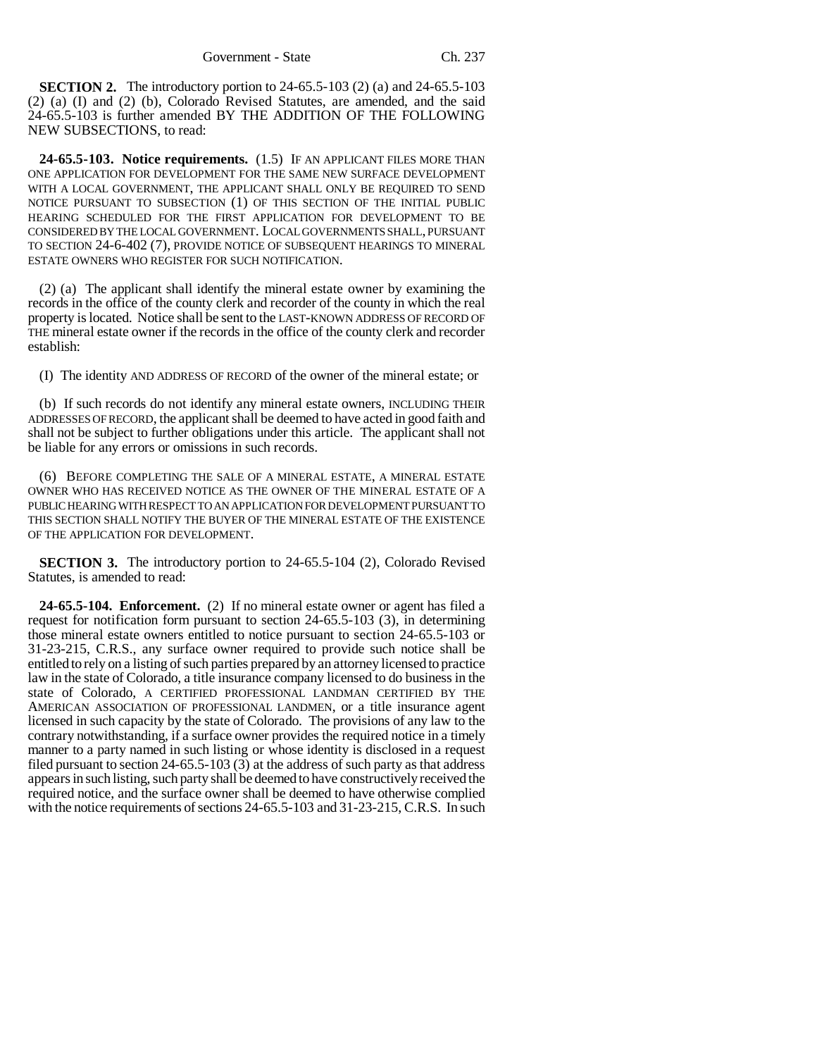**SECTION 2.** The introductory portion to 24-65.5-103 (2) (a) and 24-65.5-103 (2) (a) (I) and (2) (b), Colorado Revised Statutes, are amended, and the said 24-65.5-103 is further amended BY THE ADDITION OF THE FOLLOWING NEW SUBSECTIONS, to read:

**24-65.5-103. Notice requirements.** (1.5) IF AN APPLICANT FILES MORE THAN ONE APPLICATION FOR DEVELOPMENT FOR THE SAME NEW SURFACE DEVELOPMENT WITH A LOCAL GOVERNMENT, THE APPLICANT SHALL ONLY BE REQUIRED TO SEND NOTICE PURSUANT TO SUBSECTION (1) OF THIS SECTION OF THE INITIAL PUBLIC HEARING SCHEDULED FOR THE FIRST APPLICATION FOR DEVELOPMENT TO BE CONSIDERED BY THE LOCAL GOVERNMENT. LOCAL GOVERNMENTS SHALL, PURSUANT TO SECTION 24-6-402 (7), PROVIDE NOTICE OF SUBSEQUENT HEARINGS TO MINERAL ESTATE OWNERS WHO REGISTER FOR SUCH NOTIFICATION.

(2) (a) The applicant shall identify the mineral estate owner by examining the records in the office of the county clerk and recorder of the county in which the real property is located. Notice shall be sent to the LAST-KNOWN ADDRESS OF RECORD OF THE mineral estate owner if the records in the office of the county clerk and recorder establish:

(I) The identity AND ADDRESS OF RECORD of the owner of the mineral estate; or

(b) If such records do not identify any mineral estate owners, INCLUDING THEIR ADDRESSES OF RECORD, the applicant shall be deemed to have acted in good faith and shall not be subject to further obligations under this article. The applicant shall not be liable for any errors or omissions in such records.

(6) BEFORE COMPLETING THE SALE OF A MINERAL ESTATE, A MINERAL ESTATE OWNER WHO HAS RECEIVED NOTICE AS THE OWNER OF THE MINERAL ESTATE OF A PUBLIC HEARING WITH RESPECT TO AN APPLICATION FOR DEVELOPMENT PURSUANT TO THIS SECTION SHALL NOTIFY THE BUYER OF THE MINERAL ESTATE OF THE EXISTENCE OF THE APPLICATION FOR DEVELOPMENT.

**SECTION 3.** The introductory portion to 24-65.5-104 (2), Colorado Revised Statutes, is amended to read:

**24-65.5-104. Enforcement.** (2) If no mineral estate owner or agent has filed a request for notification form pursuant to section 24-65.5-103 (3), in determining those mineral estate owners entitled to notice pursuant to section 24-65.5-103 or 31-23-215, C.R.S., any surface owner required to provide such notice shall be entitled to rely on a listing of such parties prepared by an attorney licensed to practice law in the state of Colorado, a title insurance company licensed to do business in the state of Colorado, A CERTIFIED PROFESSIONAL LANDMAN CERTIFIED BY THE AMERICAN ASSOCIATION OF PROFESSIONAL LANDMEN, or a title insurance agent licensed in such capacity by the state of Colorado. The provisions of any law to the contrary notwithstanding, if a surface owner provides the required notice in a timely manner to a party named in such listing or whose identity is disclosed in a request filed pursuant to section 24-65.5-103 (3) at the address of such party as that address appears in such listing, such party shall be deemed to have constructively received the required notice, and the surface owner shall be deemed to have otherwise complied with the notice requirements of sections 24-65.5-103 and 31-23-215, C.R.S. In such